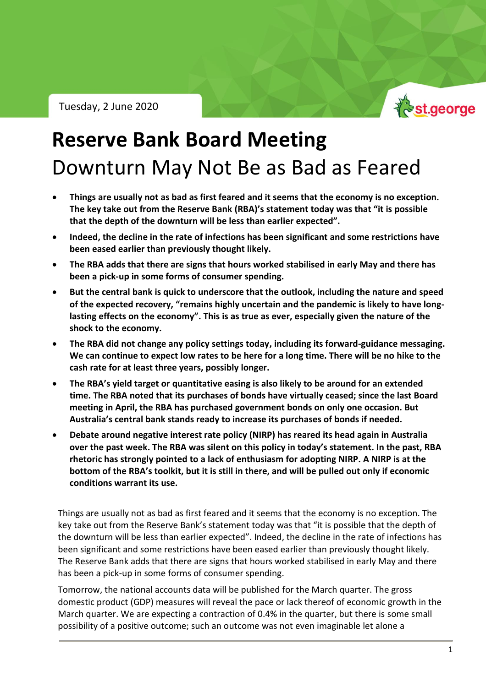Tuesday, 2 June 2020



## **Reserve Bank Board Meeting** Downturn May Not Be as Bad as Feared

- **Things are usually not as bad as first feared and it seems that the economy is no exception. The key take out from the Reserve Bank (RBA)'s statement today was that "it is possible that the depth of the downturn will be less than earlier expected".**
- **Indeed, the decline in the rate of infections has been significant and some restrictions have been eased earlier than previously thought likely.**
- **The RBA adds that there are signs that hours worked stabilised in early May and there has been a pick-up in some forms of consumer spending.**
- **But the central bank is quick to underscore that the outlook, including the nature and speed of the expected recovery, "remains highly uncertain and the pandemic is likely to have longlasting effects on the economy". This is as true as ever, especially given the nature of the shock to the economy.**
- **The RBA did not change any policy settings today, including its forward-guidance messaging. We can continue to expect low rates to be here for a long time. There will be no hike to the cash rate for at least three years, possibly longer.**
- **The RBA's yield target or quantitative easing is also likely to be around for an extended time. The RBA noted that its purchases of bonds have virtually ceased; since the last Board meeting in April, the RBA has purchased government bonds on only one occasion. But Australia's central bank stands ready to increase its purchases of bonds if needed.**
- **Debate around negative interest rate policy (NIRP) has reared its head again in Australia over the past week. The RBA was silent on this policy in today's statement. In the past, RBA rhetoric has strongly pointed to a lack of enthusiasm for adopting NIRP. A NIRP is at the bottom of the RBA's toolkit, but it is still in there, and will be pulled out only if economic conditions warrant its use.**

Things are usually not as bad as first feared and it seems that the economy is no exception. The key take out from the Reserve Bank's statement today was that "it is possible that the depth of the downturn will be less than earlier expected". Indeed, the decline in the rate of infections has been significant and some restrictions have been eased earlier than previously thought likely. The Reserve Bank adds that there are signs that hours worked stabilised in early May and there has been a pick-up in some forms of consumer spending.

Tomorrow, the national accounts data will be published for the March quarter. The gross domestic product (GDP) measures will reveal the pace or lack thereof of economic growth in the March quarter. We are expecting a contraction of 0.4% in the quarter, but there is some small possibility of a positive outcome; such an outcome was not even imaginable let alone a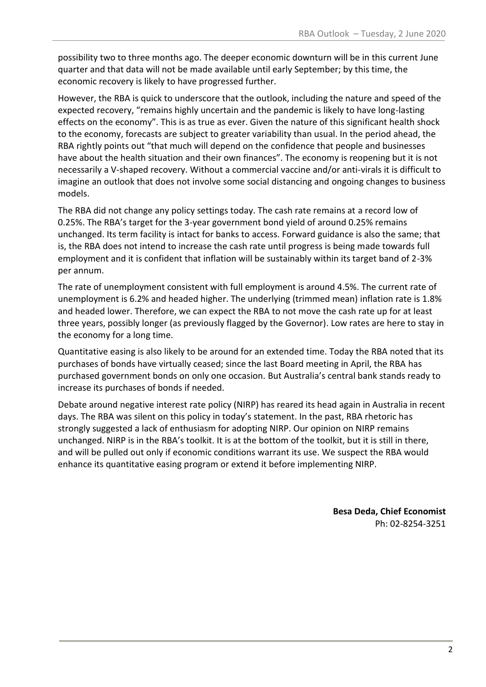possibility two to three months ago. The deeper economic downturn will be in this current June quarter and that data will not be made available until early September; by this time, the economic recovery is likely to have progressed further.

However, the RBA is quick to underscore that the outlook, including the nature and speed of the expected recovery, "remains highly uncertain and the pandemic is likely to have long-lasting effects on the economy". This is as true as ever. Given the nature of this significant health shock to the economy, forecasts are subject to greater variability than usual. In the period ahead, the RBA rightly points out "that much will depend on the confidence that people and businesses have about the health situation and their own finances". The economy is reopening but it is not necessarily a V-shaped recovery. Without a commercial vaccine and/or anti-virals it is difficult to imagine an outlook that does not involve some social distancing and ongoing changes to business models.

The RBA did not change any policy settings today. The cash rate remains at a record low of 0.25%. The RBA's target for the 3-year government bond yield of around 0.25% remains unchanged. Its term facility is intact for banks to access. Forward guidance is also the same; that is, the RBA does not intend to increase the cash rate until progress is being made towards full employment and it is confident that inflation will be sustainably within its target band of 2-3% per annum.

The rate of unemployment consistent with full employment is around 4.5%. The current rate of unemployment is 6.2% and headed higher. The underlying (trimmed mean) inflation rate is 1.8% and headed lower. Therefore, we can expect the RBA to not move the cash rate up for at least three years, possibly longer (as previously flagged by the Governor). Low rates are here to stay in the economy for a long time.

Quantitative easing is also likely to be around for an extended time. Today the RBA noted that its purchases of bonds have virtually ceased; since the last Board meeting in April, the RBA has purchased government bonds on only one occasion. But Australia's central bank stands ready to increase its purchases of bonds if needed.

Debate around negative interest rate policy (NIRP) has reared its head again in Australia in recent days. The RBA was silent on this policy in today's statement. In the past, RBA rhetoric has strongly suggested a lack of enthusiasm for adopting NIRP. Our opinion on NIRP remains unchanged. NIRP is in the RBA's toolkit. It is at the bottom of the toolkit, but it is still in there, and will be pulled out only if economic conditions warrant its use. We suspect the RBA would enhance its quantitative easing program or extend it before implementing NIRP.

> **Besa Deda, Chief Economist** Ph: 02-8254-3251